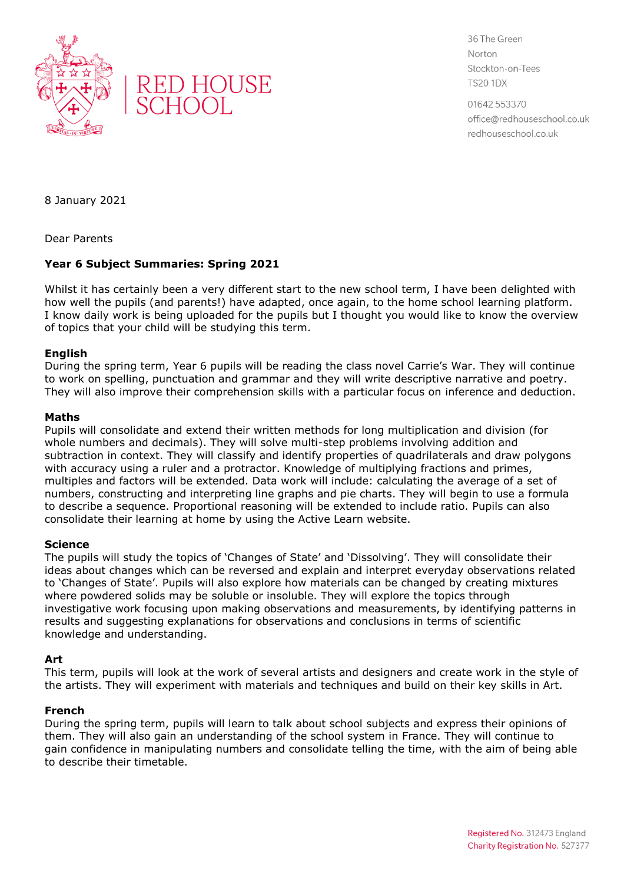



36 The Green Norton Stockton-on-Tees **TS20 1DX** 

01642 553370 office@redhouseschool.co.uk redhouseschool.co.uk

8 January 2021

Dear Parents

# **Year 6 Subject Summaries: Spring 2021**

Whilst it has certainly been a very different start to the new school term, I have been delighted with how well the pupils (and parents!) have adapted, once again, to the home school learning platform. I know daily work is being uploaded for the pupils but I thought you would like to know the overview of topics that your child will be studying this term.

## **English**

During the spring term, Year 6 pupils will be reading the class novel Carrie's War. They will continue to work on spelling, punctuation and grammar and they will write descriptive narrative and poetry. They will also improve their comprehension skills with a particular focus on inference and deduction.

### **Maths**

Pupils will consolidate and extend their written methods for long multiplication and division (for whole numbers and decimals). They will solve multi-step problems involving addition and subtraction in context. They will classify and identify properties of quadrilaterals and draw polygons with accuracy using a ruler and a protractor. Knowledge of multiplying fractions and primes, multiples and factors will be extended. Data work will include: calculating the average of a set of numbers, constructing and interpreting line graphs and pie charts. They will begin to use a formula to describe a sequence. Proportional reasoning will be extended to include ratio. Pupils can also consolidate their learning at home by using the Active Learn website.

## **Science**

The pupils will study the topics of 'Changes of State' and 'Dissolving'. They will consolidate their ideas about changes which can be reversed and explain and interpret everyday observations related to 'Changes of State'. Pupils will also explore how materials can be changed by creating mixtures where powdered solids may be soluble or insoluble. They will explore the topics through investigative work focusing upon making observations and measurements, by identifying patterns in results and suggesting explanations for observations and conclusions in terms of scientific knowledge and understanding.

## **Art**

This term, pupils will look at the work of several artists and designers and create work in the style of the artists. They will experiment with materials and techniques and build on their key skills in Art.

### **French**

During the spring term, pupils will learn to talk about school subjects and express their opinions of them. They will also gain an understanding of the school system in France. They will continue to gain confidence in manipulating numbers and consolidate telling the time, with the aim of being able to describe their timetable.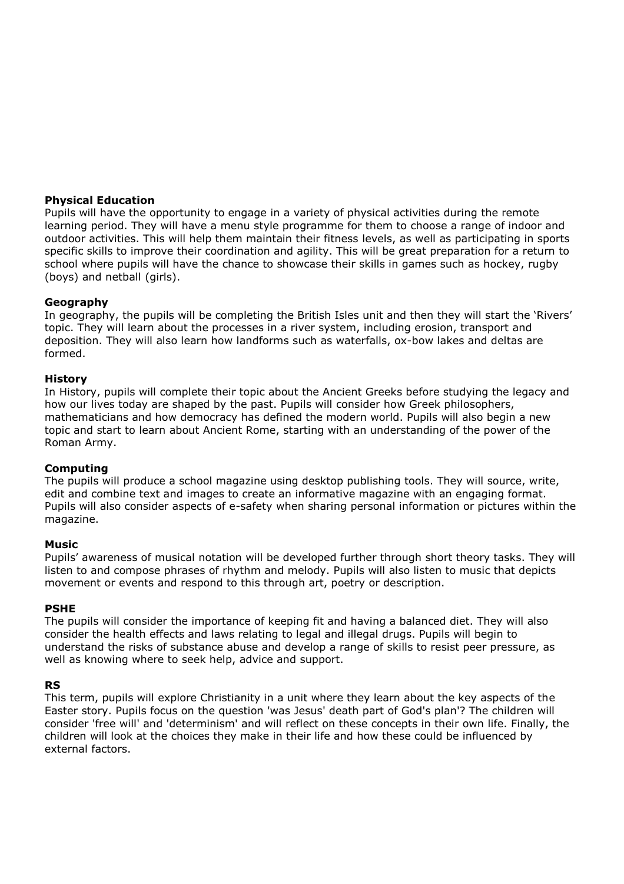### **Physical Education**

Pupils will have the opportunity to engage in a variety of physical activities during the remote learning period. They will have a menu style programme for them to choose a range of indoor and outdoor activities. This will help them maintain their fitness levels, as well as participating in sports specific skills to improve their coordination and agility. This will be great preparation for a return to school where pupils will have the chance to showcase their skills in games such as hockey, rugby (boys) and netball (girls).

### **Geography**

In geography, the pupils will be completing the British Isles unit and then they will start the 'Rivers' topic. They will learn about the processes in a river system, including erosion, transport and deposition. They will also learn how landforms such as waterfalls, ox-bow lakes and deltas are formed.

### **History**

In History, pupils will complete their topic about the Ancient Greeks before studying the legacy and how our lives today are shaped by the past. Pupils will consider how Greek philosophers, mathematicians and how democracy has defined the modern world. Pupils will also begin a new topic and start to learn about Ancient Rome, starting with an understanding of the power of the Roman Army.

### **Computing**

The pupils will produce a school magazine using desktop publishing tools. They will source, write, edit and combine text and images to create an informative magazine with an engaging format. Pupils will also consider aspects of e-safety when sharing personal information or pictures within the magazine.

### **Music**

Pupils' awareness of musical notation will be developed further through short theory tasks. They will listen to and compose phrases of rhythm and melody. Pupils will also listen to music that depicts movement or events and respond to this through art, poetry or description.

### **PSHE**

The pupils will consider the importance of keeping fit and having a balanced diet. They will also consider the health effects and laws relating to legal and illegal drugs. Pupils will begin to understand the risks of substance abuse and develop a range of skills to resist peer pressure, as well as knowing where to seek help, advice and support.

### **RS**

This term, pupils will explore Christianity in a unit where they learn about the key aspects of the Easter story. Pupils focus on the question 'was Jesus' death part of God's plan'? The children will consider 'free will' and 'determinism' and will reflect on these concepts in their own life. Finally, the children will look at the choices they make in their life and how these could be influenced by external factors.